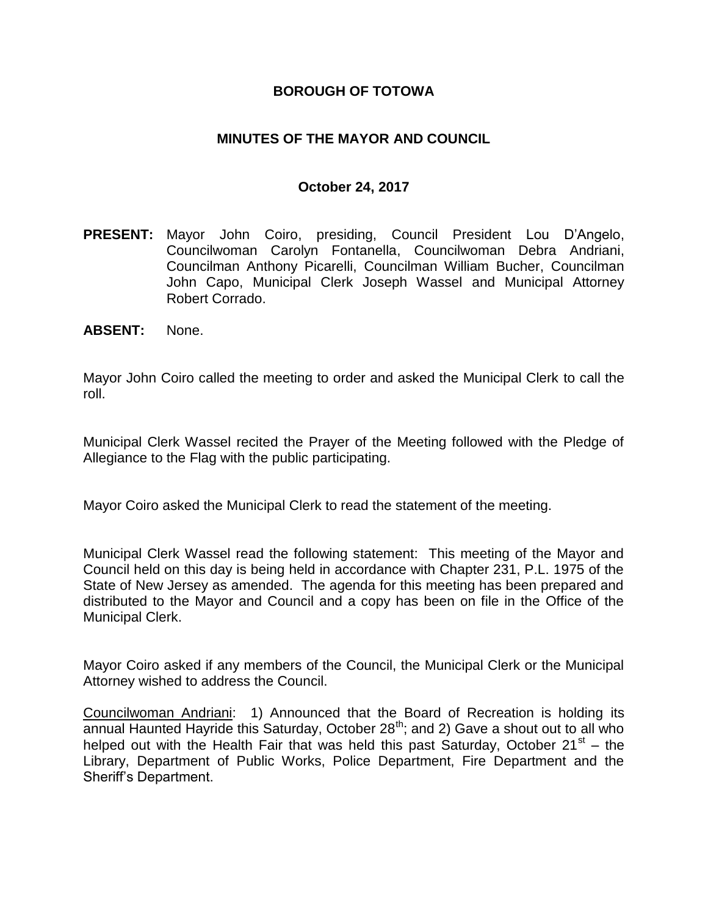## **BOROUGH OF TOTOWA**

## **MINUTES OF THE MAYOR AND COUNCIL**

#### **October 24, 2017**

- **PRESENT:** Mayor John Coiro, presiding, Council President Lou D'Angelo, Councilwoman Carolyn Fontanella, Councilwoman Debra Andriani, Councilman Anthony Picarelli, Councilman William Bucher, Councilman John Capo, Municipal Clerk Joseph Wassel and Municipal Attorney Robert Corrado.
- **ABSENT:** None.

Mayor John Coiro called the meeting to order and asked the Municipal Clerk to call the roll.

Municipal Clerk Wassel recited the Prayer of the Meeting followed with the Pledge of Allegiance to the Flag with the public participating.

Mayor Coiro asked the Municipal Clerk to read the statement of the meeting.

Municipal Clerk Wassel read the following statement: This meeting of the Mayor and Council held on this day is being held in accordance with Chapter 231, P.L. 1975 of the State of New Jersey as amended. The agenda for this meeting has been prepared and distributed to the Mayor and Council and a copy has been on file in the Office of the Municipal Clerk.

Mayor Coiro asked if any members of the Council, the Municipal Clerk or the Municipal Attorney wished to address the Council.

Councilwoman Andriani: 1) Announced that the Board of Recreation is holding its annual Haunted Hayride this Saturday, October  $28<sup>th</sup>$ ; and 2) Gave a shout out to all who helped out with the Health Fair that was held this past Saturday, October 21<sup>st</sup> – the Library, Department of Public Works, Police Department, Fire Department and the Sheriff's Department.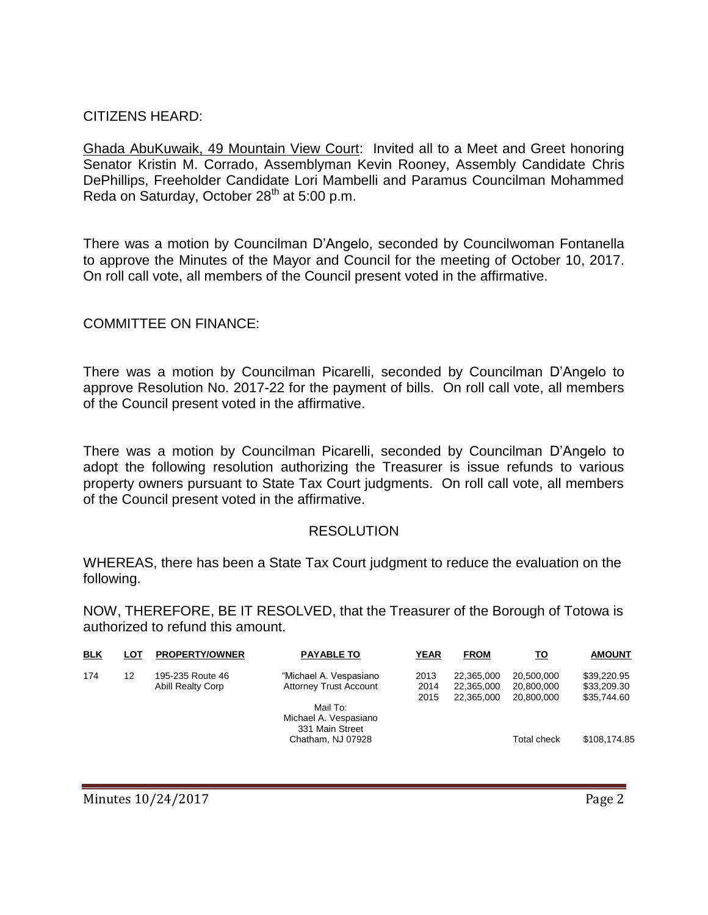CITIZENS HEARD:

Ghada AbuKuwaik, 49 Mountain View Court: Invited all to a Meet and Greet honoring Senator Kristin M. Corrado, Assemblyman Kevin Rooney, Assembly Candidate Chris DePhillips, Freeholder Candidate Lori Mambelli and Paramus Councilman Mohammed Reda on Saturday, October 28<sup>th</sup> at 5:00 p.m.

There was a motion by Councilman D'Angelo, seconded by Councilwoman Fontanella to approve the Minutes of the Mayor and Council for the meeting of October 10, 2017. On roll call vote, all members of the Council present voted in the affirmative.

## COMMITTEE ON FINANCE:

There was a motion by Councilman Picarelli, seconded by Councilman D'Angelo to approve Resolution No. 2017-22 for the payment of bills. On roll call vote, all members of the Council present voted in the affirmative.

There was a motion by Councilman Picarelli, seconded by Councilman D'Angelo to adopt the following resolution authorizing the Treasurer is issue refunds to various property owners pursuant to State Tax Court judgments. On roll call vote, all members of the Council present voted in the affirmative.

#### RESOLUTION

WHEREAS, there has been a State Tax Court judgment to reduce the evaluation on the following.

NOW, THEREFORE, BE IT RESOLVED, that the Treasurer of the Borough of Totowa is authorized to refund this amount.

| <b>BLK</b> | LOT | <b>PROPERTY/OWNER</b>                 | <b>PAYABLE TO</b>                                       | YEAR         | <b>FROM</b>              | то                       | <b>AMOUNT</b>              |
|------------|-----|---------------------------------------|---------------------------------------------------------|--------------|--------------------------|--------------------------|----------------------------|
| 174        | 12  | 195-235 Route 46<br>Abill Realty Corp | "Michael A. Vespasiano<br><b>Attorney Trust Account</b> | 2013<br>2014 | 22.365.000<br>22,365,000 | 20,500,000<br>20.800.000 | \$39,220.95<br>\$33,209.30 |
|            |     |                                       |                                                         | 2015         | 22.365.000               | 20.800.000               | \$35,744.60                |
|            |     |                                       | Mail To:                                                |              |                          |                          |                            |
|            |     |                                       | Michael A. Vespasiano<br>331 Main Street                |              |                          |                          |                            |
|            |     |                                       | Chatham, NJ 07928                                       |              |                          | <b>Total check</b>       | \$108,174.85               |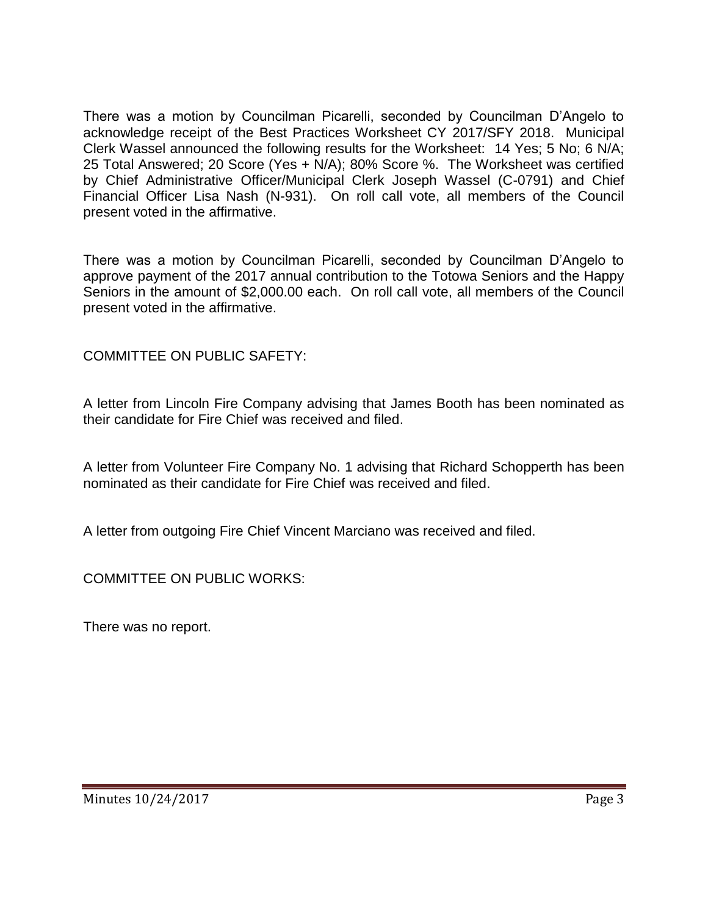There was a motion by Councilman Picarelli, seconded by Councilman D'Angelo to acknowledge receipt of the Best Practices Worksheet CY 2017/SFY 2018. Municipal Clerk Wassel announced the following results for the Worksheet: 14 Yes; 5 No; 6 N/A; 25 Total Answered; 20 Score (Yes + N/A); 80% Score %. The Worksheet was certified by Chief Administrative Officer/Municipal Clerk Joseph Wassel (C-0791) and Chief Financial Officer Lisa Nash (N-931). On roll call vote, all members of the Council present voted in the affirmative.

There was a motion by Councilman Picarelli, seconded by Councilman D'Angelo to approve payment of the 2017 annual contribution to the Totowa Seniors and the Happy Seniors in the amount of \$2,000.00 each. On roll call vote, all members of the Council present voted in the affirmative.

COMMITTEE ON PUBLIC SAFETY:

A letter from Lincoln Fire Company advising that James Booth has been nominated as their candidate for Fire Chief was received and filed.

A letter from Volunteer Fire Company No. 1 advising that Richard Schopperth has been nominated as their candidate for Fire Chief was received and filed.

A letter from outgoing Fire Chief Vincent Marciano was received and filed.

COMMITTEE ON PUBLIC WORKS:

There was no report.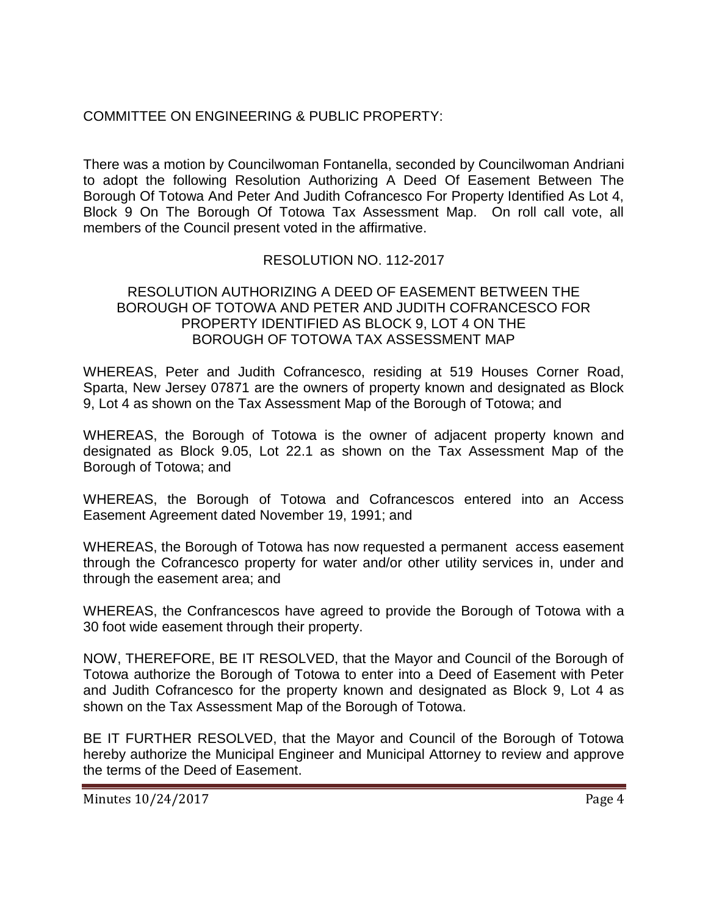# COMMITTEE ON ENGINEERING & PUBLIC PROPERTY:

There was a motion by Councilwoman Fontanella, seconded by Councilwoman Andriani to adopt the following Resolution Authorizing A Deed Of Easement Between The Borough Of Totowa And Peter And Judith Cofrancesco For Property Identified As Lot 4, Block 9 On The Borough Of Totowa Tax Assessment Map. On roll call vote, all members of the Council present voted in the affirmative.

# RESOLUTION NO. 112-2017

### RESOLUTION AUTHORIZING A DEED OF EASEMENT BETWEEN THE BOROUGH OF TOTOWA AND PETER AND JUDITH COFRANCESCO FOR PROPERTY IDENTIFIED AS BLOCK 9, LOT 4 ON THE BOROUGH OF TOTOWA TAX ASSESSMENT MAP

WHEREAS, Peter and Judith Cofrancesco, residing at 519 Houses Corner Road, Sparta, New Jersey 07871 are the owners of property known and designated as Block 9, Lot 4 as shown on the Tax Assessment Map of the Borough of Totowa; and

WHEREAS, the Borough of Totowa is the owner of adjacent property known and designated as Block 9.05, Lot 22.1 as shown on the Tax Assessment Map of the Borough of Totowa; and

WHEREAS, the Borough of Totowa and Cofrancescos entered into an Access Easement Agreement dated November 19, 1991; and

WHEREAS, the Borough of Totowa has now requested a permanent access easement through the Cofrancesco property for water and/or other utility services in, under and through the easement area; and

WHEREAS, the Confrancescos have agreed to provide the Borough of Totowa with a 30 foot wide easement through their property.

NOW, THEREFORE, BE IT RESOLVED, that the Mayor and Council of the Borough of Totowa authorize the Borough of Totowa to enter into a Deed of Easement with Peter and Judith Cofrancesco for the property known and designated as Block 9, Lot 4 as shown on the Tax Assessment Map of the Borough of Totowa.

BE IT FURTHER RESOLVED, that the Mayor and Council of the Borough of Totowa hereby authorize the Municipal Engineer and Municipal Attorney to review and approve the terms of the Deed of Easement.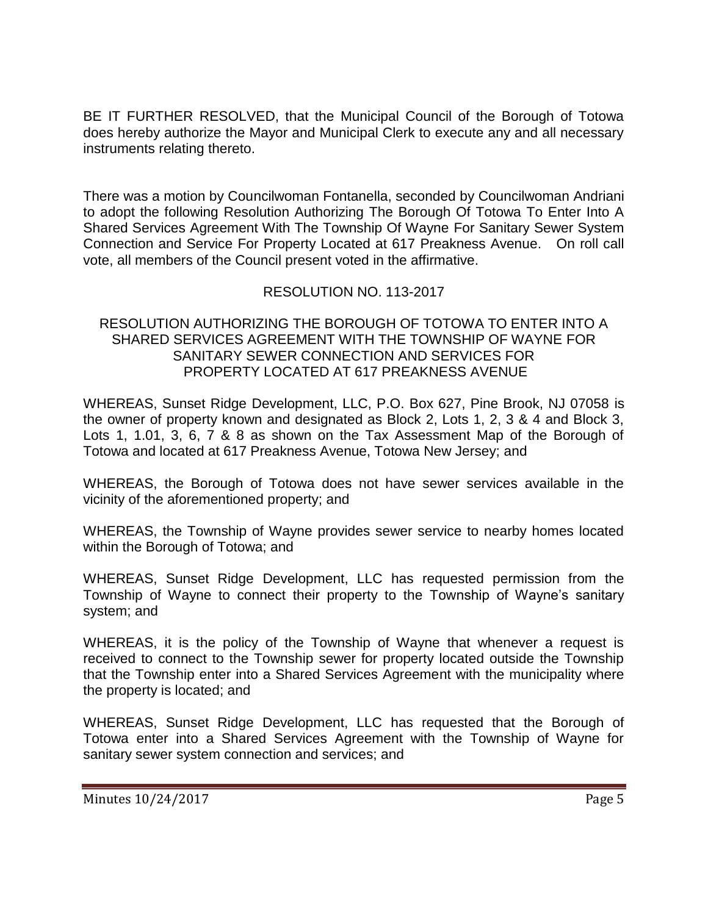BE IT FURTHER RESOLVED, that the Municipal Council of the Borough of Totowa does hereby authorize the Mayor and Municipal Clerk to execute any and all necessary instruments relating thereto.

There was a motion by Councilwoman Fontanella, seconded by Councilwoman Andriani to adopt the following Resolution Authorizing The Borough Of Totowa To Enter Into A Shared Services Agreement With The Township Of Wayne For Sanitary Sewer System Connection and Service For Property Located at 617 Preakness Avenue. On roll call vote, all members of the Council present voted in the affirmative.

# RESOLUTION NO. 113-2017

### RESOLUTION AUTHORIZING THE BOROUGH OF TOTOWA TO ENTER INTO A SHARED SERVICES AGREEMENT WITH THE TOWNSHIP OF WAYNE FOR SANITARY SEWER CONNECTION AND SERVICES FOR PROPERTY LOCATED AT 617 PREAKNESS AVENUE

WHEREAS, Sunset Ridge Development, LLC, P.O. Box 627, Pine Brook, NJ 07058 is the owner of property known and designated as Block 2, Lots 1, 2, 3 & 4 and Block 3, Lots 1, 1.01, 3, 6, 7 & 8 as shown on the Tax Assessment Map of the Borough of Totowa and located at 617 Preakness Avenue, Totowa New Jersey; and

WHEREAS, the Borough of Totowa does not have sewer services available in the vicinity of the aforementioned property; and

WHEREAS, the Township of Wayne provides sewer service to nearby homes located within the Borough of Totowa; and

WHEREAS, Sunset Ridge Development, LLC has requested permission from the Township of Wayne to connect their property to the Township of Wayne's sanitary system; and

WHEREAS, it is the policy of the Township of Wayne that whenever a request is received to connect to the Township sewer for property located outside the Township that the Township enter into a Shared Services Agreement with the municipality where the property is located; and

WHEREAS, Sunset Ridge Development, LLC has requested that the Borough of Totowa enter into a Shared Services Agreement with the Township of Wayne for sanitary sewer system connection and services; and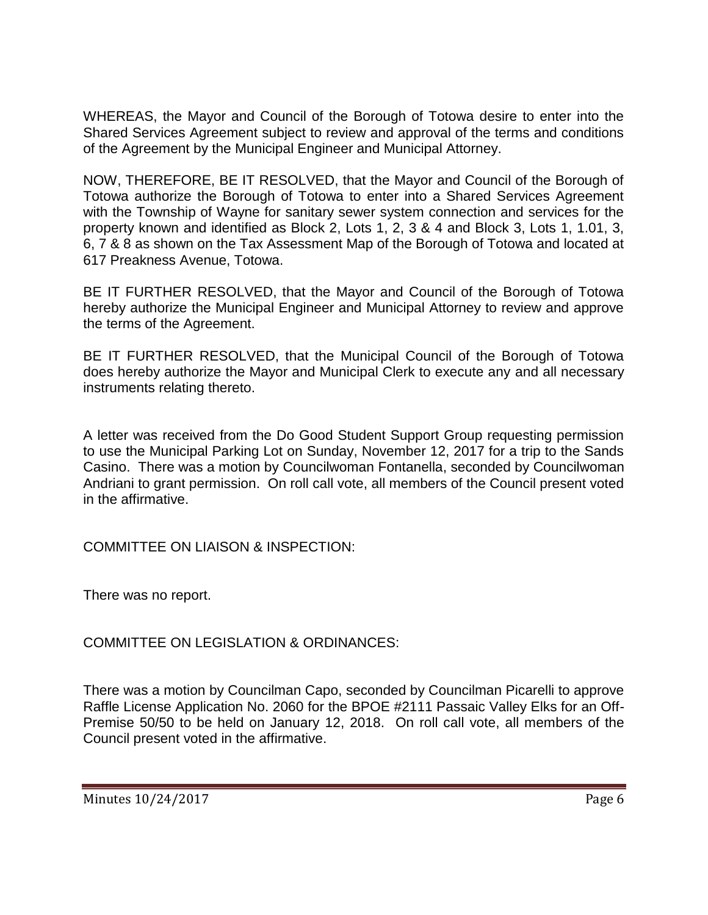WHEREAS, the Mayor and Council of the Borough of Totowa desire to enter into the Shared Services Agreement subject to review and approval of the terms and conditions of the Agreement by the Municipal Engineer and Municipal Attorney.

NOW, THEREFORE, BE IT RESOLVED, that the Mayor and Council of the Borough of Totowa authorize the Borough of Totowa to enter into a Shared Services Agreement with the Township of Wayne for sanitary sewer system connection and services for the property known and identified as Block 2, Lots 1, 2, 3 & 4 and Block 3, Lots 1, 1.01, 3, 6, 7 & 8 as shown on the Tax Assessment Map of the Borough of Totowa and located at 617 Preakness Avenue, Totowa.

BE IT FURTHER RESOLVED, that the Mayor and Council of the Borough of Totowa hereby authorize the Municipal Engineer and Municipal Attorney to review and approve the terms of the Agreement.

BE IT FURTHER RESOLVED, that the Municipal Council of the Borough of Totowa does hereby authorize the Mayor and Municipal Clerk to execute any and all necessary instruments relating thereto.

A letter was received from the Do Good Student Support Group requesting permission to use the Municipal Parking Lot on Sunday, November 12, 2017 for a trip to the Sands Casino. There was a motion by Councilwoman Fontanella, seconded by Councilwoman Andriani to grant permission. On roll call vote, all members of the Council present voted in the affirmative.

COMMITTEE ON LIAISON & INSPECTION:

There was no report.

COMMITTEE ON LEGISLATION & ORDINANCES:

There was a motion by Councilman Capo, seconded by Councilman Picarelli to approve Raffle License Application No. 2060 for the BPOE #2111 Passaic Valley Elks for an Off-Premise 50/50 to be held on January 12, 2018. On roll call vote, all members of the Council present voted in the affirmative.